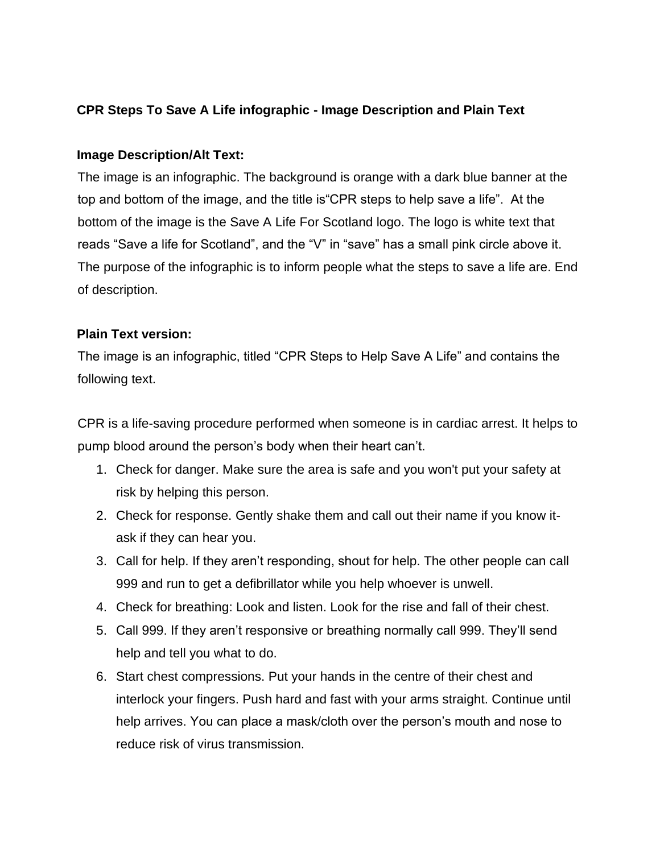## **CPR Steps To Save A Life infographic - Image Description and Plain Text**

## **Image Description/Alt Text:**

The image is an infographic. The background is orange with a dark blue banner at the top and bottom of the image, and the title is"CPR steps to help save a life". At the bottom of the image is the Save A Life For Scotland logo. The logo is white text that reads "Save a life for Scotland", and the "V" in "save" has a small pink circle above it. The purpose of the infographic is to inform people what the steps to save a life are. End of description.

## **Plain Text version:**

The image is an infographic, titled "CPR Steps to Help Save A Life" and contains the following text.

CPR is a life-saving procedure performed when someone is in cardiac arrest. It helps to pump blood around the person's body when their heart can't.

- 1. Check for danger. Make sure the area is safe and you won't put your safety at risk by helping this person.
- 2. Check for response. Gently shake them and call out their name if you know itask if they can hear you.
- 3. Call for help. If they aren't responding, shout for help. The other people can call 999 and run to get a defibrillator while you help whoever is unwell.
- 4. Check for breathing: Look and listen. Look for the rise and fall of their chest.
- 5. Call 999. If they aren't responsive or breathing normally call 999. They'll send help and tell you what to do.
- 6. Start chest compressions. Put your hands in the centre of their chest and interlock your fingers. Push hard and fast with your arms straight. Continue until help arrives. You can place a mask/cloth over the person's mouth and nose to reduce risk of virus transmission.